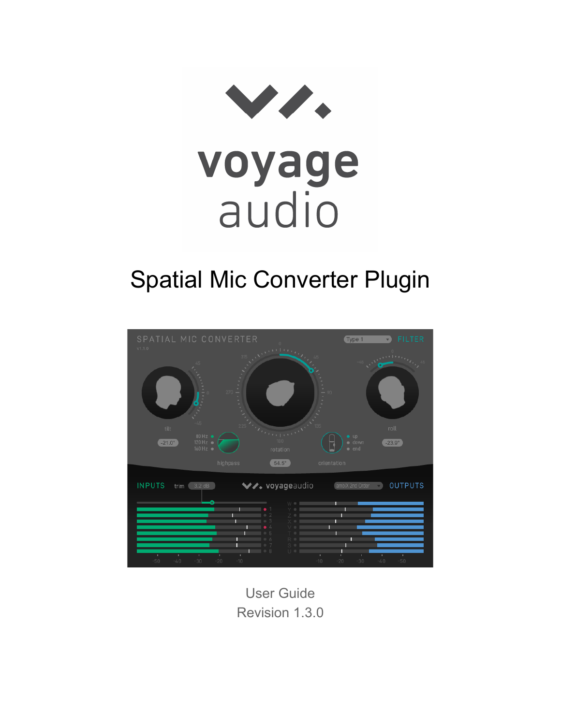

# Spatial Mic Converter Plugin



User Guide Revision 1.3.0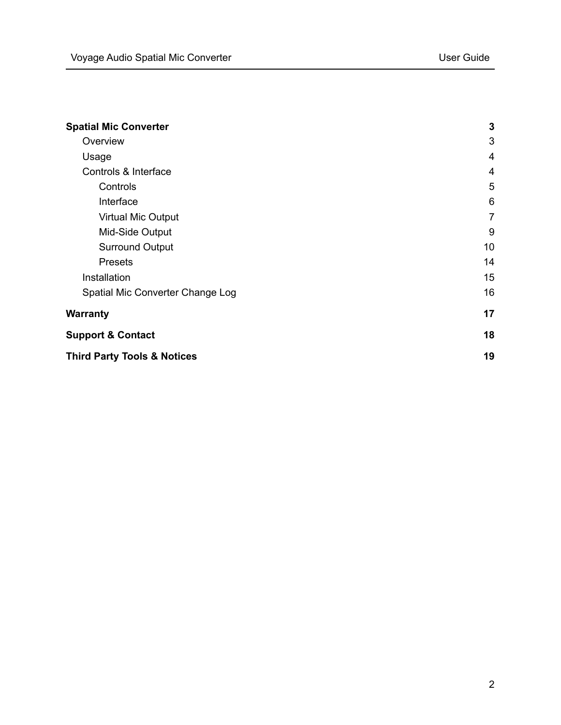| <b>Spatial Mic Converter</b>           | $\mathbf{3}$   |
|----------------------------------------|----------------|
| Overview                               | 3              |
| Usage                                  | $\overline{4}$ |
| Controls & Interface                   | $\overline{4}$ |
| Controls                               | 5              |
| Interface                              | 6              |
| Virtual Mic Output                     | $\overline{7}$ |
| Mid-Side Output                        | 9              |
| <b>Surround Output</b>                 | 10             |
| <b>Presets</b>                         | 14             |
| Installation                           | 15             |
| Spatial Mic Converter Change Log       | 16             |
| <b>Warranty</b>                        | 17             |
| <b>Support &amp; Contact</b>           | 18             |
| <b>Third Party Tools &amp; Notices</b> | 19             |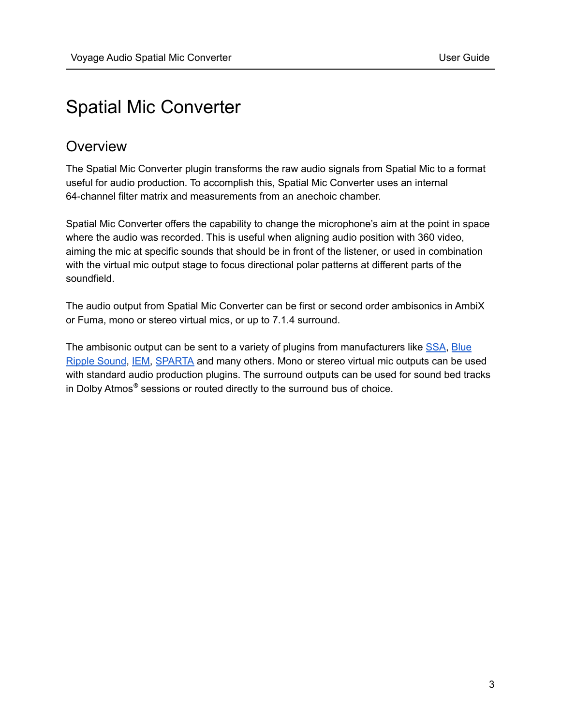# <span id="page-2-0"></span>Spatial Mic Converter

# <span id="page-2-1"></span>**Overview**

The Spatial Mic Converter plugin transforms the raw audio signals from Spatial Mic to a format useful for audio production. To accomplish this, Spatial Mic Converter uses an internal 64-channel filter matrix and measurements from an anechoic chamber.

Spatial Mic Converter offers the capability to change the microphone's aim at the point in space where the audio was recorded. This is useful when aligning audio position with 360 video, aiming the mic at specific sounds that should be in front of the listener, or used in combination with the virtual mic output stage to focus directional polar patterns at different parts of the soundfield.

The audio output from Spatial Mic Converter can be first or second order ambisonics in AmbiX or Fuma, mono or stereo virtual mics, or up to 7.1.4 surround.

The ambisonic output can be sent to a variety of plugins from manufacturers like [SSA,](https://www.ssa-plugins.com/) [Blue](https://www.blueripplesound.com/products/o3a-core) Ripple [Sound](https://www.blueripplesound.com/products/o3a-core), [IEM,](https://plugins.iem.at/) [SPARTA](http://research.spa.aalto.fi/projects/sparta_vsts/plugins.html) and many others. Mono or stereo virtual mic outputs can be used with standard audio production plugins. The surround outputs can be used for sound bed tracks in Dolby Atmos ® sessions or routed directly to the surround bus of choice.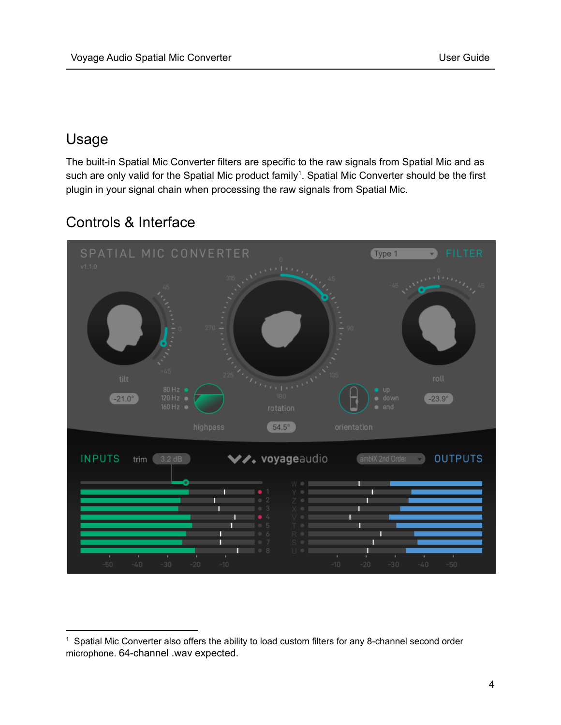# <span id="page-3-0"></span>Usage

The built-in Spatial Mic Converter filters are specific to the raw signals from Spatial Mic and as such are only valid for the Spatial Mic product family<sup>1</sup>. Spatial Mic Converter should be the first plugin in your signal chain when processing the raw signals from Spatial Mic.

# Type 1  $\mathbf{v}$  $-21.0^{\circ}$  $-23.9^{\circ}$  $54.5^\circ$ \*\* voyageaudio **INPUTS OUTPUTS** trim ambiX 2nd Order П

# <span id="page-3-1"></span>Controls & Interface

 $1$  Spatial Mic Converter also offers the ability to load custom filters for any 8-channel second order microphone. 64-channel .wav expected.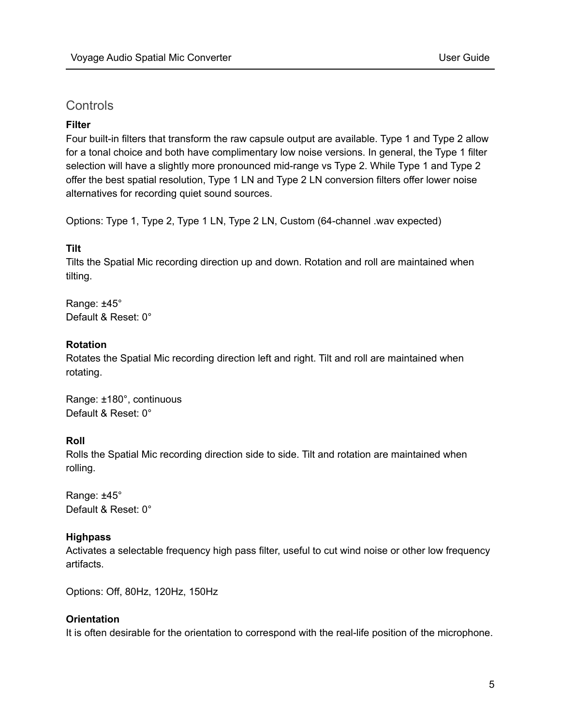# <span id="page-4-0"></span>**Controls**

## **Filter**

Four built-in filters that transform the raw capsule output are available. Type 1 and Type 2 allow for a tonal choice and both have complimentary low noise versions. In general, the Type 1 filter selection will have a slightly more pronounced mid-range vs Type 2. While Type 1 and Type 2 offer the best spatial resolution, Type 1 LN and Type 2 LN conversion filters offer lower noise alternatives for recording quiet sound sources.

Options: Type 1, Type 2, Type 1 LN, Type 2 LN, Custom (64-channel .wav expected)

#### **Tilt**

Tilts the Spatial Mic recording direction up and down. Rotation and roll are maintained when tilting.

Range: ±45° Default & Reset: 0°

#### **Rotation**

Rotates the Spatial Mic recording direction left and right. Tilt and roll are maintained when rotating.

Range: ±180°, continuous Default & Reset: 0°

# **Roll**

Rolls the Spatial Mic recording direction side to side. Tilt and rotation are maintained when rolling.

Range: ±45° Default & Reset: 0°

# **Highpass**

Activates a selectable frequency high pass filter, useful to cut wind noise or other low frequency artifacts.

Options: Off, 80Hz, 120Hz, 150Hz

# **Orientation**

It is often desirable for the orientation to correspond with the real-life position of the microphone.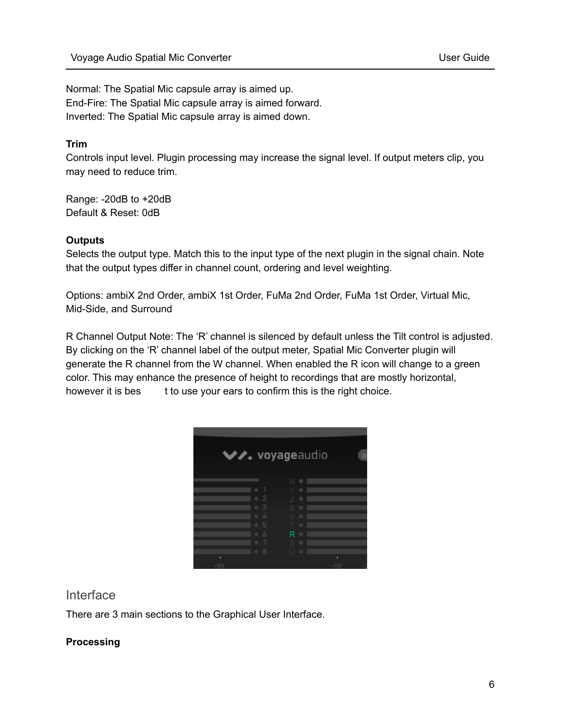Normal: The Spatial Mic capsule array is aimed up. End-Fire: The Spatial Mic capsule array is aimed forward. Inverted: The Spatial Mic capsule array is aimed down.

# **Trim**

Controls input level. Plugin processing may increase the signal level. If output meters clip, you may need to reduce trim.

Range: -20dB to +20dB Default & Reset: 0dB

# **Outputs**

Selects the output type. Match this to the input type of the next plugin in the signal chain. Note that the output types differ in channel count, ordering and level weighting.

Options: ambiX 2nd Order, ambiX 1st Order, FuMa 2nd Order, FuMa 1st Order, Virtual Mic, Mid-Side, and Surround

R Channel Output Note: The 'R' channel is silenced by default unless the Tilt control is adjusted. By clicking on the 'R' channel label of the output meter, Spatial Mic Converter plugin will generate the R channel from the W channel. When enabled the R icon will change to a green color. This may enhance the presence of height to recordings that are mostly horizontal, however it is bes t to use your ears to confirm this is the right choice.

|        | ◆ voyageaudio |  |
|--------|---------------|--|
|        |               |  |
|        |               |  |
| 3      |               |  |
| 5<br>6 | ▬             |  |
| 8      |               |  |
|        |               |  |

# <span id="page-5-0"></span>Interface

There are 3 main sections to the Graphical User Interface.

# **Processing**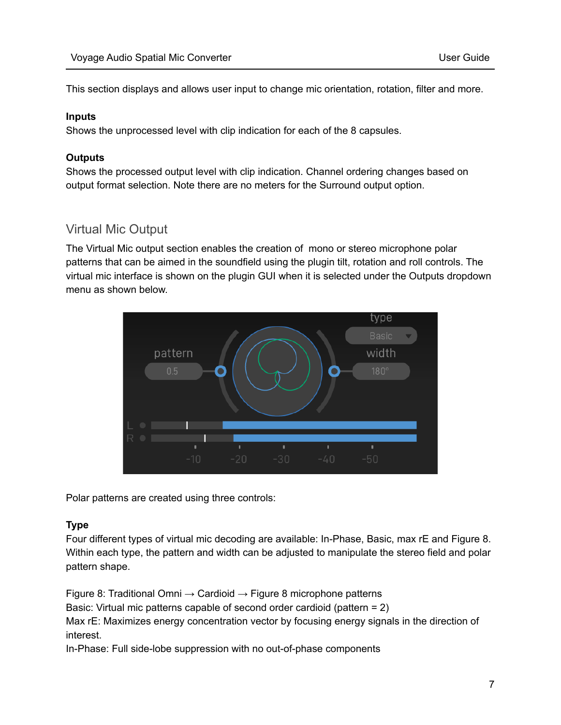This section displays and allows user input to change mic orientation, rotation, filter and more.

## **Inputs**

Shows the unprocessed level with clip indication for each of the 8 capsules.

## **Outputs**

Shows the processed output level with clip indication. Channel ordering changes based on output format selection. Note there are no meters for the Surround output option.

# <span id="page-6-0"></span>Virtual Mic Output

The Virtual Mic output section enables the creation of mono or stereo microphone polar patterns that can be aimed in the soundfield using the plugin tilt, rotation and roll controls. The virtual mic interface is shown on the plugin GUI when it is selected under the Outputs dropdown menu as shown below.



Polar patterns are created using three controls:

# **Type**

Four different types of virtual mic decoding are available: In-Phase, Basic, max rE and Figure 8. Within each type, the pattern and width can be adjusted to manipulate the stereo field and polar pattern shape.

Figure 8: Traditional Omni  $\rightarrow$  Cardioid  $\rightarrow$  Figure 8 microphone patterns

Basic: Virtual mic patterns capable of second order cardioid (pattern = 2)

Max rE: Maximizes energy concentration vector by focusing energy signals in the direction of interest.

In-Phase: Full side-lobe suppression with no out-of-phase components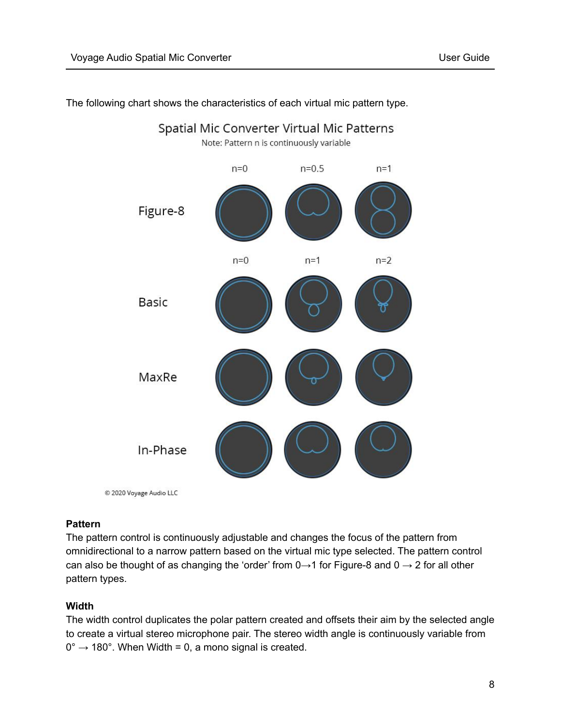

Spatial Mic Converter Virtual Mic Patterns

The following chart shows the characteristics of each virtual mic pattern type.

© 2020 Voyage Audio LLC

#### **Pattern**

The pattern control is continuously adjustable and changes the focus of the pattern from omnidirectional to a narrow pattern based on the virtual mic type selected. The pattern control can also be thought of as changing the 'order' from  $0 \rightarrow 1$  for Figure-8 and  $0 \rightarrow 2$  for all other pattern types.

#### **Width**

The width control duplicates the polar pattern created and offsets their aim by the selected angle to create a virtual stereo microphone pair. The stereo width angle is continuously variable from  $0^{\circ} \rightarrow 180^{\circ}$ . When Width = 0, a mono signal is created.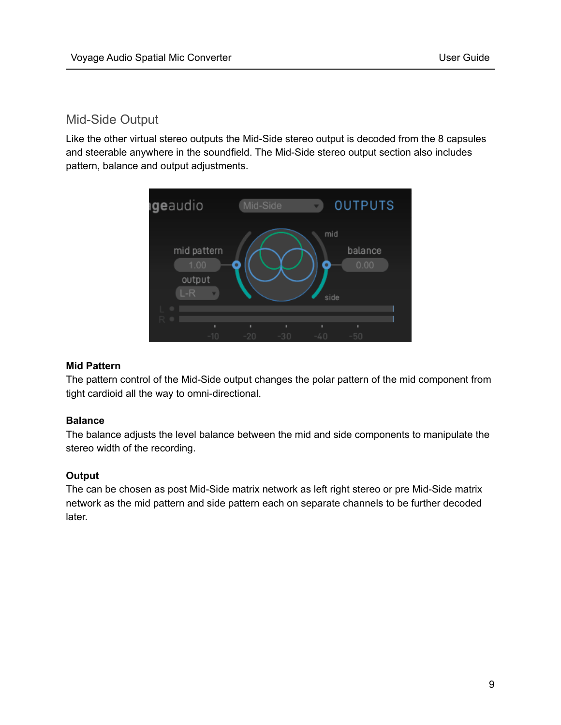# <span id="page-8-0"></span>Mid-Side Output

Like the other virtual stereo outputs the Mid-Side stereo output is decoded from the 8 capsules and steerable anywhere in the soundfield. The Mid-Side stereo output section also includes pattern, balance and output adjustments.



#### **Mid Pattern**

The pattern control of the Mid-Side output changes the polar pattern of the mid component from tight cardioid all the way to omni-directional.

# **Balance**

The balance adjusts the level balance between the mid and side components to manipulate the stereo width of the recording.

#### **Output**

The can be chosen as post Mid-Side matrix network as left right stereo or pre Mid-Side matrix network as the mid pattern and side pattern each on separate channels to be further decoded later.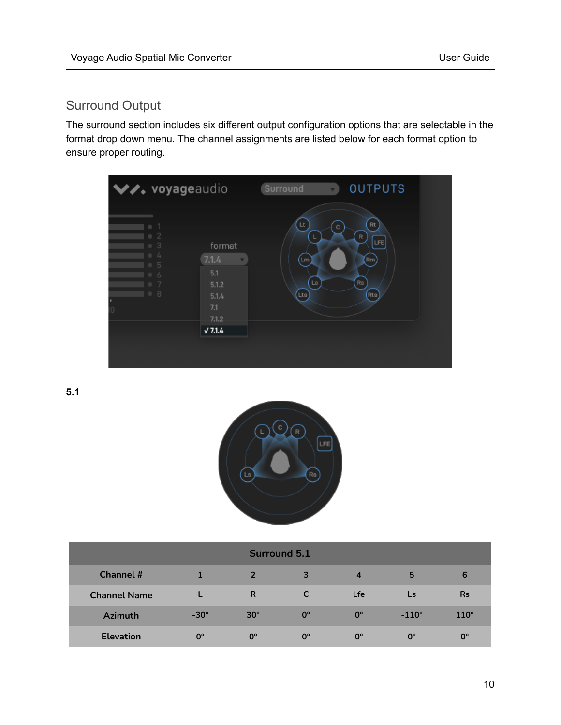# <span id="page-9-0"></span>Surround Output

The surround section includes six different output configuration options that are selectable in the format drop down menu. The channel assignments are listed below for each format option to ensure proper routing.



**5.1**



| <b>Surround 5.1</b> |             |                |             |                         |              |             |  |  |  |  |
|---------------------|-------------|----------------|-------------|-------------------------|--------------|-------------|--|--|--|--|
| <b>Channel #</b>    |             | $\overline{2}$ | 3           | $\overline{\mathbf{4}}$ | 5            | 6           |  |  |  |  |
| <b>Channel Name</b> |             | R              |             | <b>Lfe</b>              | Ls           | <b>Rs</b>   |  |  |  |  |
| <b>Azimuth</b>      | $-30^\circ$ | $30^\circ$     | $0^{\circ}$ | $0^{\circ}$             | $-110^\circ$ | $110^\circ$ |  |  |  |  |
| <b>Elevation</b>    | $0^{\circ}$ | $0^{\circ}$    | $0^{\circ}$ | $0^{\circ}$             | $0^{\circ}$  | $0^{\circ}$ |  |  |  |  |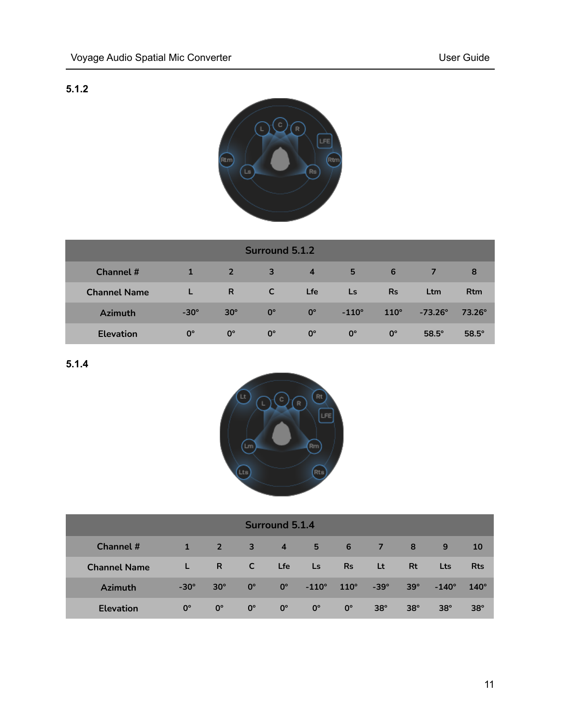# **5.1.2**



| <b>Surround 5.1.2</b> |              |              |             |                |              |             |                  |                 |  |  |
|-----------------------|--------------|--------------|-------------|----------------|--------------|-------------|------------------|-----------------|--|--|
| Channel #             | $\mathbf{1}$ | $\sqrt{2}$   | 3           | $\overline{4}$ | 5            | 6           |                  | 8               |  |  |
| <b>Channel Name</b>   |              | $\mathsf{R}$ | <b>C</b>    | <b>Lfe</b>     | <b>Ls</b>    | <b>Rs</b>   | Ltm              | <b>Rtm</b>      |  |  |
| <b>Azimuth</b>        | $-30^\circ$  | $30^\circ$   | $0^{\circ}$ | $0^{\circ}$    | $-110^\circ$ | $110^\circ$ | $-73.26^{\circ}$ | $73.26^{\circ}$ |  |  |
| <b>Elevation</b>      | $0^{\circ}$  | $0^{\circ}$  | $0^{\circ}$ | $0^{\circ}$    | $0^{\circ}$  | $0^{\circ}$ | $58.5^\circ$     | $58.5^\circ$    |  |  |

**5.1.4**



| <b>Surround 5.1.4</b> |             |             |             |                |              |                  |             |            |              |             |  |
|-----------------------|-------------|-------------|-------------|----------------|--------------|------------------|-------------|------------|--------------|-------------|--|
| <b>Channel #</b>      |             | $\sqrt{2}$  | 3           | $\overline{4}$ | $5 -$        | $\blacksquare$ 6 | 477         | 8          | 9            | 10          |  |
| <b>Channel Name</b>   | L           | R.          | C           | Lfe            | <b>Ls</b>    | <b>Rs</b>        | <b>Lt</b>   | <b>Rt</b>  | <b>Lts</b>   | <b>Rts</b>  |  |
| <b>Azimuth</b>        | $-30^\circ$ | $30^\circ$  | $0^{\circ}$ | $0^{\circ}$    | $-110^\circ$ | $110^\circ$      | $-39^\circ$ | $39^\circ$ | $-140^\circ$ | $140^\circ$ |  |
| <b>Elevation</b>      | $0^{\circ}$ | $0^{\circ}$ | $0^{\circ}$ | $0^{\circ}$    | $0^{\circ}$  | $0^{\circ}$      | $38^\circ$  | $38^\circ$ | $38^\circ$   | $38^\circ$  |  |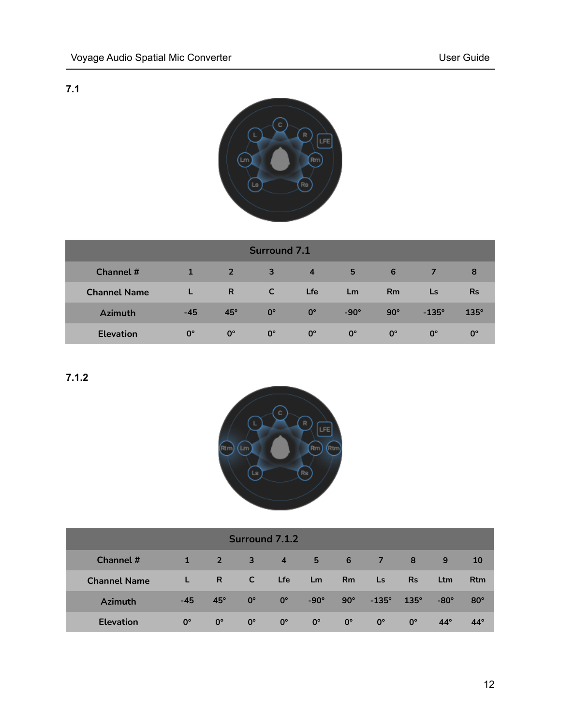# **7.1**



| <b>Surround 7.1</b> |              |             |             |                |             |             |              |             |  |
|---------------------|--------------|-------------|-------------|----------------|-------------|-------------|--------------|-------------|--|
| Channel #           | $\mathbf{1}$ | $\sqrt{2}$  | 3           | $\overline{4}$ | 5           | 6           |              | 8           |  |
| <b>Channel Name</b> |              | R           | <b>C</b>    | <b>Lfe</b>     | Lm          | <b>Rm</b>   | Ls           | <b>Rs</b>   |  |
| <b>Azimuth</b>      | $-45$        | $45^\circ$  | $0^{\circ}$ | $0^{\circ}$    | $-90^\circ$ | $90^\circ$  | $-135^\circ$ | $135^\circ$ |  |
| <b>Elevation</b>    | $0^{\circ}$  | $0^{\circ}$ | $0^{\circ}$ | $0^{\circ}$    | $0^{\circ}$ | $0^{\circ}$ | $0^{\circ}$  | $0^{\circ}$ |  |

**7.1.2**



| <b>Surround 7.1.2</b> |             |             |              |                |             |                  |              |             |             |            |
|-----------------------|-------------|-------------|--------------|----------------|-------------|------------------|--------------|-------------|-------------|------------|
| Channel #             |             | $\sqrt{2}$  | $\mathbf{3}$ | $\overline{4}$ | $5 -$       | $\blacksquare$ 6 | -77          | 8           | 9           | 10         |
| <b>Channel Name</b>   |             | R           | C            | <b>Lfe</b>     | Lm          | Rm               | Ls.          | <b>Rs</b>   | Ltm         | <b>Rtm</b> |
| <b>Azimuth</b>        | $-45$       | $45^\circ$  | $0^{\circ}$  | $0^{\circ}$    | $-90^\circ$ | $90^\circ$       | $-135^\circ$ | $135^\circ$ | $-80^\circ$ | $80^\circ$ |
| <b>Elevation</b>      | $0^{\circ}$ | $0^{\circ}$ | $0^{\circ}$  | $0^{\circ}$    | $0^{\circ}$ | $0^{\circ}$      | $0^{\circ}$  | $0^{\circ}$ | $44^\circ$  | $44^\circ$ |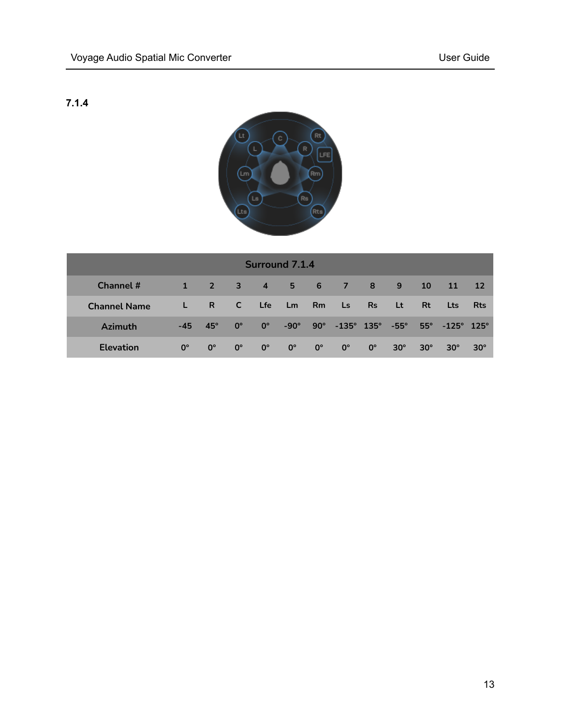# **7.1.4**



| <b>Surround 7.1.4</b> |             |             |              |             |             |                |                              |             |            |            |                         |            |
|-----------------------|-------------|-------------|--------------|-------------|-------------|----------------|------------------------------|-------------|------------|------------|-------------------------|------------|
| Channel #             | 1           | $2 \t3$     |              | $-4$        | $5 -$       | 6 <sup>6</sup> | $\sim$ 7                     | $\sqrt{8}$  | 9          | <b>10</b>  | 11                      | <b>12</b>  |
| <b>Channel Name</b>   | L.          | R           | $\mathsf{C}$ | <b>Lfe</b>  | Lm          | <b>Rm</b>      | Ls.                          | <b>Rs</b>   | Lt         | <b>Rt</b>  | Lts                     | Rts        |
| <b>Azimuth</b>        | $-45$       | $45^\circ$  | $0^{\circ}$  | $0^{\circ}$ | $-90^\circ$ |                | $90^{\circ}$ -135° 135° -55° |             |            |            | $55^{\circ}$ -125° 125° |            |
| <b>Elevation</b>      | $0^{\circ}$ | $0^{\circ}$ | $0^{\circ}$  | $0^{\circ}$ | $0^{\circ}$ | $0^{\circ}$    | $0^{\circ}$                  | $0^{\circ}$ | $30^\circ$ | $30^\circ$ | $30^\circ$              | $30^\circ$ |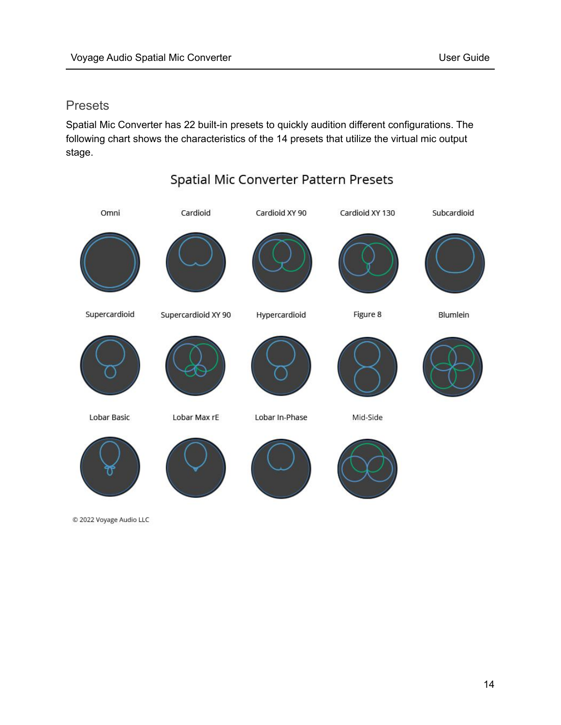# <span id="page-13-0"></span>Presets

Spatial Mic Converter has 22 built-in presets to quickly audition different configurations. The following chart shows the characteristics of the 14 presets that utilize the virtual mic output stage.

Spatial Mic Converter Pattern Presets



C 2022 Voyage Audio LLC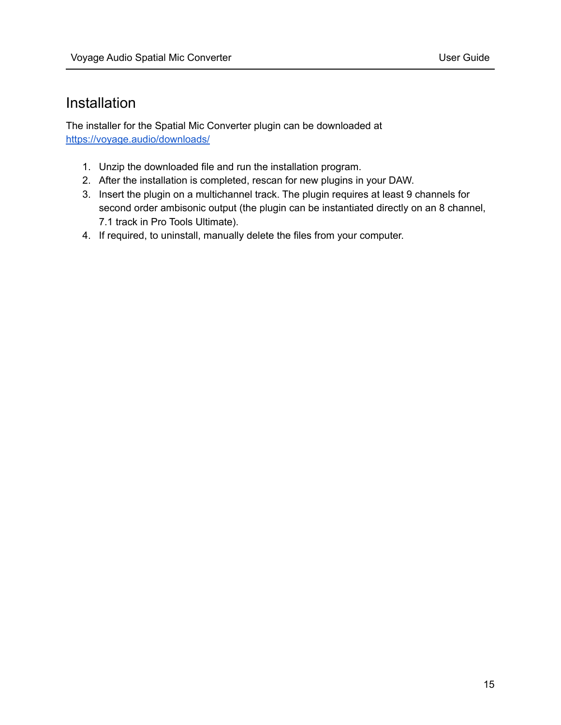# <span id="page-14-0"></span>Installation

The installer for the Spatial Mic Converter plugin can be downloaded at <https://voyage.audio/downloads/>

- 1. Unzip the downloaded file and run the installation program.
- 2. After the installation is completed, rescan for new plugins in your DAW.
- 3. Insert the plugin on a multichannel track. The plugin requires at least 9 channels for second order ambisonic output (the plugin can be instantiated directly on an 8 channel, 7.1 track in Pro Tools Ultimate).
- 4. If required, to uninstall, manually delete the files from your computer.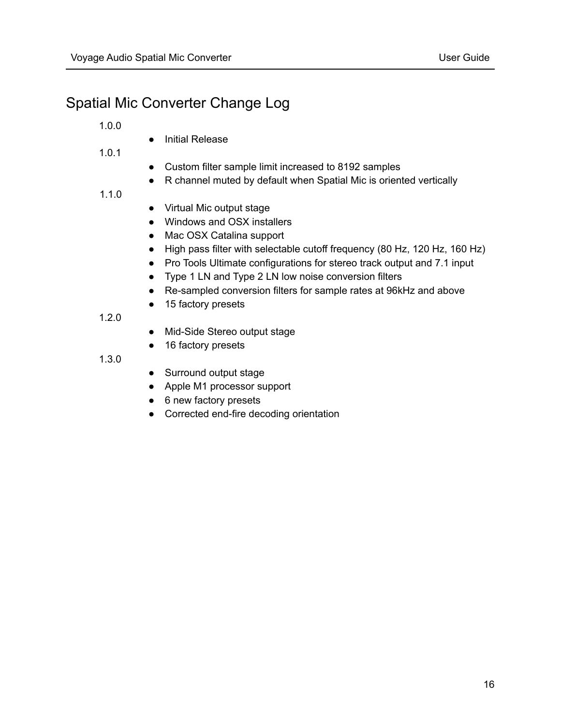# <span id="page-15-0"></span>Spatial Mic Converter Change Log

1.0.0

● Initial Release

1.0.1

- Custom filter sample limit increased to 8192 samples
- R channel muted by default when Spatial Mic is oriented vertically
- 1.1.0
- Virtual Mic output stage
- Windows and OSX installers
- Mac OSX Catalina support
- High pass filter with selectable cutoff frequency (80 Hz, 120 Hz, 160 Hz)
- Pro Tools Ultimate configurations for stereo track output and 7.1 input
- Type 1 LN and Type 2 LN low noise conversion filters
- Re-sampled conversion filters for sample rates at 96kHz and above
- 15 factory presets

1.2.0

- Mid-Side Stereo output stage
- 16 factory presets

1.3.0

- Surround output stage
- Apple M1 processor support
- 6 new factory presets
- Corrected end-fire decoding orientation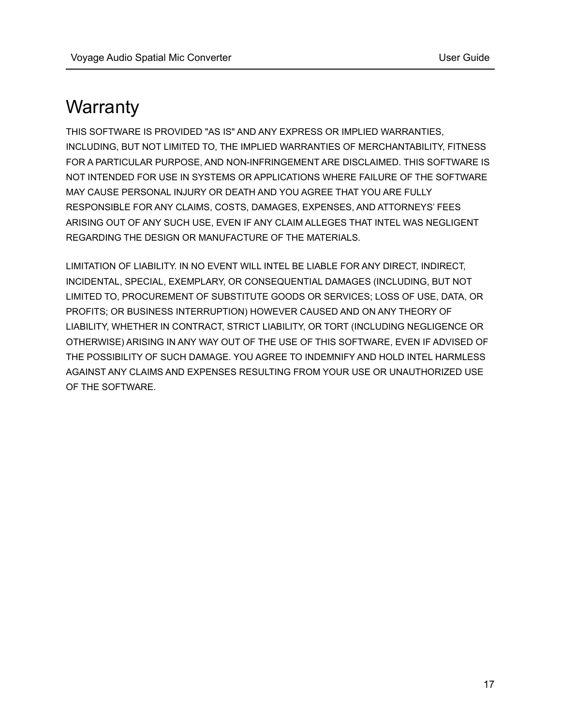# <span id="page-16-0"></span>**Warranty**

THIS SOFTWARE IS PROVIDED "AS IS" AND ANY EXPRESS OR IMPLIED WARRANTIES, INCLUDING, BUT NOT LIMITED TO, THE IMPLIED WARRANTIES OF MERCHANTABILITY, FITNESS FOR A PARTICULAR PURPOSE, AND NON-INFRINGEMENT ARE DISCLAIMED. THIS SOFTWARE IS NOT INTENDED FOR USE IN SYSTEMS OR APPLICATIONS WHERE FAILURE OF THE SOFTWARE MAY CAUSE PERSONAL INJURY OR DEATH AND YOU AGREE THAT YOU ARE FULLY RESPONSIBLE FOR ANY CLAIMS, COSTS, DAMAGES, EXPENSES, AND ATTORNEYS' FEES ARISING OUT OF ANY SUCH USE, EVEN IF ANY CLAIM ALLEGES THAT INTEL WAS NEGLIGENT REGARDING THE DESIGN OR MANUFACTURE OF THE MATERIALS.

LIMITATION OF LIABILITY. IN NO EVENT WILL INTEL BE LIABLE FOR ANY DIRECT, INDIRECT, INCIDENTAL, SPECIAL, EXEMPLARY, OR CONSEQUENTIAL DAMAGES (INCLUDING, BUT NOT LIMITED TO, PROCUREMENT OF SUBSTITUTE GOODS OR SERVICES; LOSS OF USE, DATA, OR PROFITS; OR BUSINESS INTERRUPTION) HOWEVER CAUSED AND ON ANY THEORY OF LIABILITY, WHETHER IN CONTRACT, STRICT LIABILITY, OR TORT (INCLUDING NEGLIGENCE OR OTHERWISE) ARISING IN ANY WAY OUT OF THE USE OF THIS SOFTWARE, EVEN IF ADVISED OF THE POSSIBILITY OF SUCH DAMAGE. YOU AGREE TO INDEMNIFY AND HOLD INTEL HARMLESS AGAINST ANY CLAIMS AND EXPENSES RESULTING FROM YOUR USE OR UNAUTHORIZED USE OF THE SOFTWARE.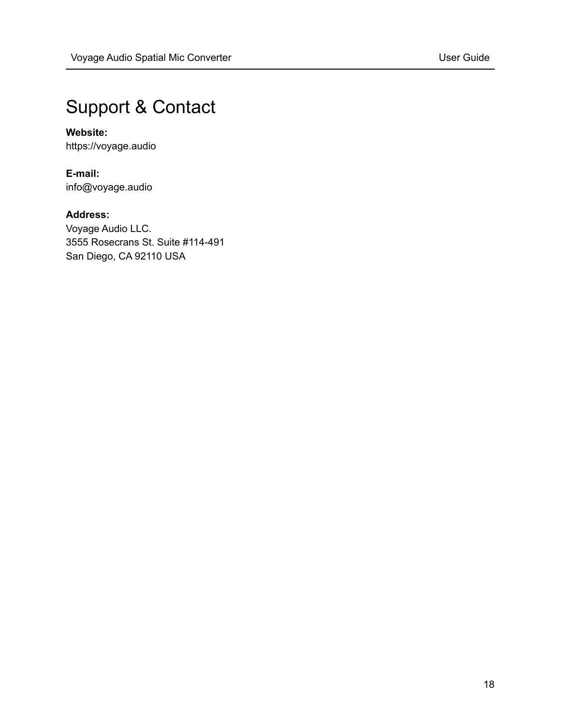# <span id="page-17-0"></span>Support & Contact

# **Website:**

https://voyage.audio

**E-mail:** info@voyage.audio

# **Address:**

Voyage Audio LLC. 3555 Rosecrans St. Suite #114-491 San Diego, CA 92110 USA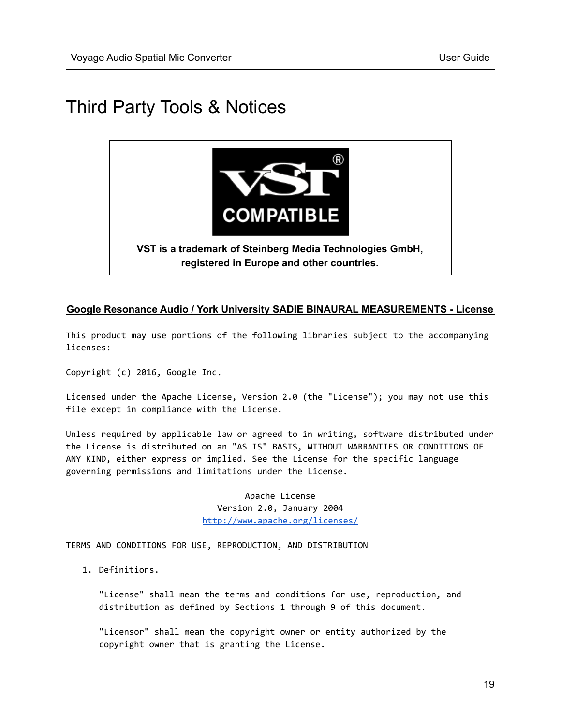# <span id="page-18-0"></span>Third Party Tools & Notices



#### **Google Resonance Audio / York University SADIE BINAURAL MEASUREMENTS - License**

This product may use portions of the following libraries subject to the accompanying licenses:

Copyright (c) 2016, Google Inc.

Licensed under the Apache License, Version 2.0 (the "License"); you may not use this file except in compliance with the License.

Unless required by applicable law or agreed to in writing, software distributed under the License is distributed on an "AS IS" BASIS, WITHOUT WARRANTIES OR CONDITIONS OF ANY KIND, either express or implied. See the License for the specific language governing permissions and limitations under the License.

> Apache License Version 2.0, January 2004 <http://www.apache.org/licenses/>

TERMS AND CONDITIONS FOR USE, REPRODUCTION, AND DISTRIBUTION

1. Definitions.

"License" shall mean the terms and conditions for use, reproduction, and distribution as defined by Sections 1 through 9 of this document.

"Licensor" shall mean the copyright owner or entity authorized by the copyright owner that is granting the License.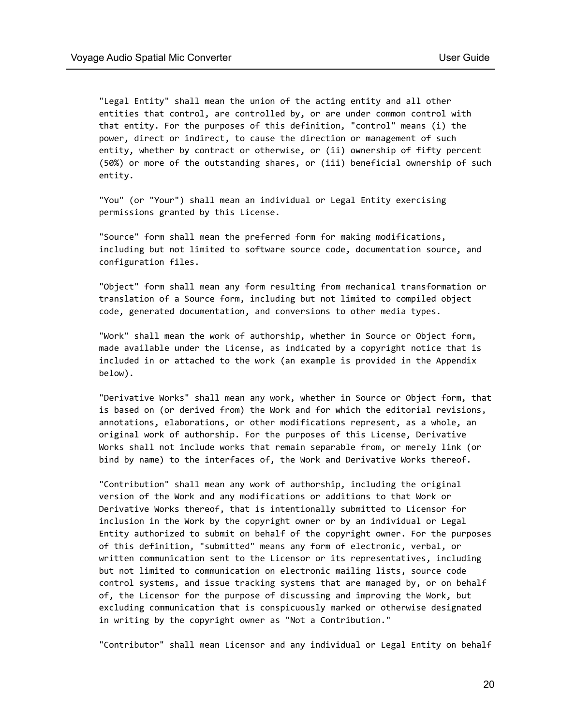"Legal Entity" shall mean the union of the acting entity and all other entities that control, are controlled by, or are under common control with that entity. For the purposes of this definition, "control" means (i) the power, direct or indirect, to cause the direction or management of such entity, whether by contract or otherwise, or (ii) ownership of fifty percent (50%) or more of the outstanding shares, or (iii) beneficial ownership of such entity.

"You" (or "Your") shall mean an individual or Legal Entity exercising permissions granted by this License.

"Source" form shall mean the preferred form for making modifications, including but not limited to software source code, documentation source, and configuration files.

"Object" form shall mean any form resulting from mechanical transformation or translation of a Source form, including but not limited to compiled object code, generated documentation, and conversions to other media types.

"Work" shall mean the work of authorship, whether in Source or Object form, made available under the License, as indicated by a copyright notice that is included in or attached to the work (an example is provided in the Appendix below).

"Derivative Works" shall mean any work, whether in Source or Object form, that is based on (or derived from) the Work and for which the editorial revisions, annotations, elaborations, or other modifications represent, as a whole, an original work of authorship. For the purposes of this License, Derivative Works shall not include works that remain separable from, or merely link (or bind by name) to the interfaces of, the Work and Derivative Works thereof.

"Contribution" shall mean any work of authorship, including the original version of the Work and any modifications or additions to that Work or Derivative Works thereof, that is intentionally submitted to Licensor for inclusion in the Work by the copyright owner or by an individual or Legal Entity authorized to submit on behalf of the copyright owner. For the purposes of this definition, "submitted" means any form of electronic, verbal, or written communication sent to the Licensor or its representatives, including but not limited to communication on electronic mailing lists, source code control systems, and issue tracking systems that are managed by, or on behalf of, the Licensor for the purpose of discussing and improving the Work, but excluding communication that is conspicuously marked or otherwise designated in writing by the copyright owner as "Not a Contribution."

"Contributor" shall mean Licensor and any individual or Legal Entity on behalf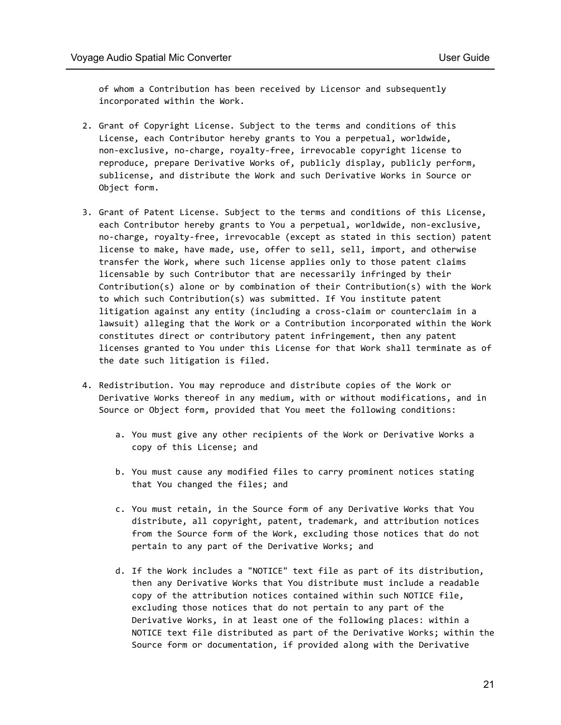of whom a Contribution has been received by Licensor and subsequently incorporated within the Work.

- 2. Grant of Copyright License. Subject to the terms and conditions of this License, each Contributor hereby grants to You a perpetual, worldwide, non-exclusive, no-charge, royalty-free, irrevocable copyright license to reproduce, prepare Derivative Works of, publicly display, publicly perform, sublicense, and distribute the Work and such Derivative Works in Source or Object form.
- 3. Grant of Patent License. Subject to the terms and conditions of this License, each Contributor hereby grants to You a perpetual, worldwide, non-exclusive, no-charge, royalty-free, irrevocable (except as stated in this section) patent license to make, have made, use, offer to sell, sell, import, and otherwise transfer the Work, where such license applies only to those patent claims licensable by such Contributor that are necessarily infringed by their Contribution(s) alone or by combination of their Contribution(s) with the Work to which such Contribution(s) was submitted. If You institute patent litigation against any entity (including a cross-claim or counterclaim in a lawsuit) alleging that the Work or a Contribution incorporated within the Work constitutes direct or contributory patent infringement, then any patent licenses granted to You under this License for that Work shall terminate as of the date such litigation is filed.
- 4. Redistribution. You may reproduce and distribute copies of the Work or Derivative Works thereof in any medium, with or without modifications, and in Source or Object form, provided that You meet the following conditions:
	- a. You must give any other recipients of the Work or Derivative Works a copy of this License; and
	- b. You must cause any modified files to carry prominent notices stating that You changed the files; and
	- c. You must retain, in the Source form of any Derivative Works that You distribute, all copyright, patent, trademark, and attribution notices from the Source form of the Work, excluding those notices that do not pertain to any part of the Derivative Works; and
	- d. If the Work includes a "NOTICE" text file as part of its distribution, then any Derivative Works that You distribute must include a readable copy of the attribution notices contained within such NOTICE file, excluding those notices that do not pertain to any part of the Derivative Works, in at least one of the following places: within a NOTICE text file distributed as part of the Derivative Works; within the Source form or documentation, if provided along with the Derivative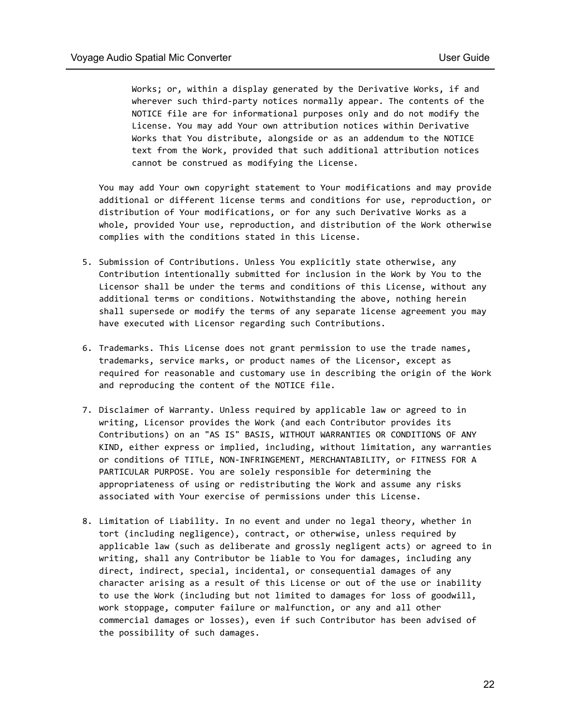Works; or, within a display generated by the Derivative Works, if and wherever such third-party notices normally appear. The contents of the NOTICE file are for informational purposes only and do not modify the License. You may add Your own attribution notices within Derivative Works that You distribute, alongside or as an addendum to the NOTICE text from the Work, provided that such additional attribution notices cannot be construed as modifying the License.

You may add Your own copyright statement to Your modifications and may provide additional or different license terms and conditions for use, reproduction, or distribution of Your modifications, or for any such Derivative Works as a whole, provided Your use, reproduction, and distribution of the Work otherwise complies with the conditions stated in this License.

- 5. Submission of Contributions. Unless You explicitly state otherwise, any Contribution intentionally submitted for inclusion in the Work by You to the Licensor shall be under the terms and conditions of this License, without any additional terms or conditions. Notwithstanding the above, nothing herein shall supersede or modify the terms of any separate license agreement you may have executed with Licensor regarding such Contributions.
- 6. Trademarks. This License does not grant permission to use the trade names, trademarks, service marks, or product names of the Licensor, except as required for reasonable and customary use in describing the origin of the Work and reproducing the content of the NOTICE file.
- 7. Disclaimer of Warranty. Unless required by applicable law or agreed to in writing, Licensor provides the Work (and each Contributor provides its Contributions) on an "AS IS" BASIS, WITHOUT WARRANTIES OR CONDITIONS OF ANY KIND, either express or implied, including, without limitation, any warranties or conditions of TITLE, NON-INFRINGEMENT, MERCHANTABILITY, or FITNESS FOR A PARTICULAR PURPOSE. You are solely responsible for determining the appropriateness of using or redistributing the Work and assume any risks associated with Your exercise of permissions under this License.
- 8. Limitation of Liability. In no event and under no legal theory, whether in tort (including negligence), contract, or otherwise, unless required by applicable law (such as deliberate and grossly negligent acts) or agreed to in writing, shall any Contributor be liable to You for damages, including any direct, indirect, special, incidental, or consequential damages of any character arising as a result of this License or out of the use or inability to use the Work (including but not limited to damages for loss of goodwill, work stoppage, computer failure or malfunction, or any and all other commercial damages or losses), even if such Contributor has been advised of the possibility of such damages.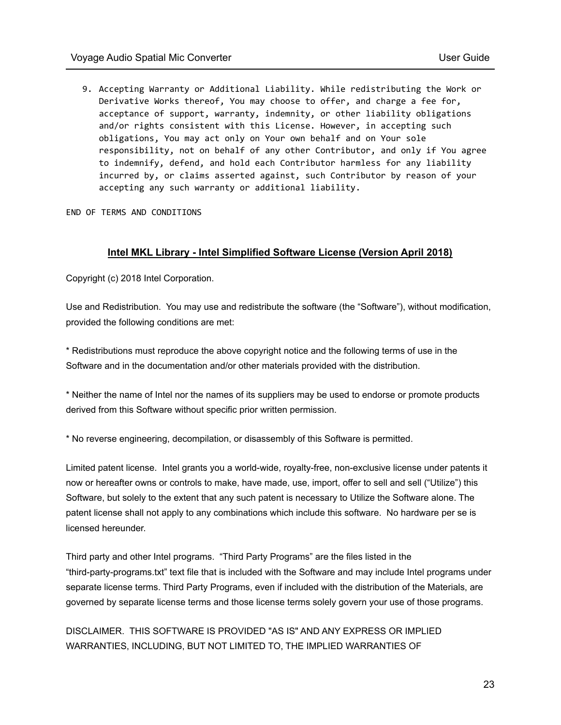9. Accepting Warranty or Additional Liability. While redistributing the Work or Derivative Works thereof, You may choose to offer, and charge a fee for, acceptance of support, warranty, indemnity, or other liability obligations and/or rights consistent with this License. However, in accepting such obligations, You may act only on Your own behalf and on Your sole responsibility, not on behalf of any other Contributor, and only if You agree to indemnify, defend, and hold each Contributor harmless for any liability incurred by, or claims asserted against, such Contributor by reason of your accepting any such warranty or additional liability.

END OF TERMS AND CONDITIONS

#### **Intel MKL Library - Intel Simplified Software License (Version April 2018)**

Copyright (c) 2018 Intel Corporation.

Use and Redistribution. You may use and redistribute the software (the "Software"), without modification, provided the following conditions are met:

\* Redistributions must reproduce the above copyright notice and the following terms of use in the Software and in the documentation and/or other materials provided with the distribution.

\* Neither the name of Intel nor the names of its suppliers may be used to endorse or promote products derived from this Software without specific prior written permission.

\* No reverse engineering, decompilation, or disassembly of this Software is permitted.

Limited patent license. Intel grants you a world-wide, royalty-free, non-exclusive license under patents it now or hereafter owns or controls to make, have made, use, import, offer to sell and sell ("Utilize") this Software, but solely to the extent that any such patent is necessary to Utilize the Software alone. The patent license shall not apply to any combinations which include this software. No hardware per se is licensed hereunder.

Third party and other Intel programs. "Third Party Programs" are the files listed in the "third-party-programs.txt" text file that is included with the Software and may include Intel programs under separate license terms. Third Party Programs, even if included with the distribution of the Materials, are governed by separate license terms and those license terms solely govern your use of those programs.

DISCLAIMER. THIS SOFTWARE IS PROVIDED "AS IS" AND ANY EXPRESS OR IMPLIED WARRANTIES, INCLUDING, BUT NOT LIMITED TO, THE IMPLIED WARRANTIES OF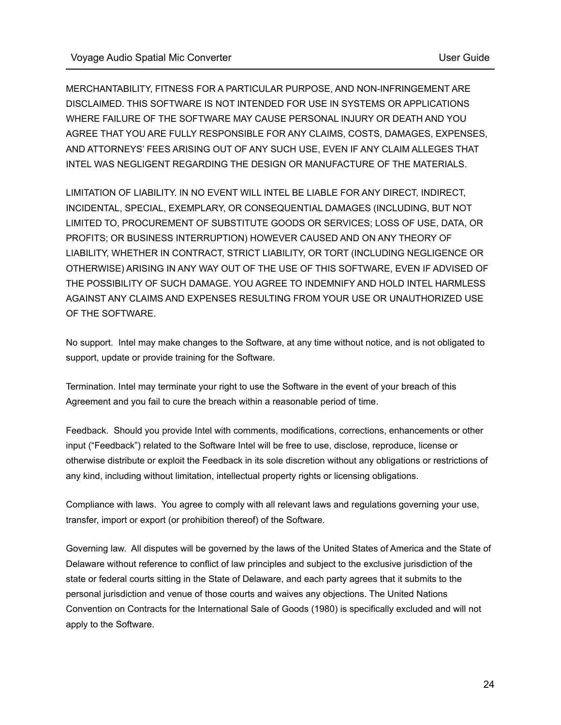MERCHANTABILITY, FITNESS FOR A PARTICULAR PURPOSE, AND NON-INFRINGEMENT ARE DISCLAIMED. THIS SOFTWARE IS NOT INTENDED FOR USE IN SYSTEMS OR APPLICATIONS WHERE FAILURE OF THE SOFTWARE MAY CAUSE PERSONAL INJURY OR DEATH AND YOU AGREE THAT YOU ARE FULLY RESPONSIBLE FOR ANY CLAIMS, COSTS, DAMAGES, EXPENSES, AND ATTORNEYS' FEES ARISING OUT OF ANY SUCH USE, EVEN IF ANY CLAIM ALLEGES THAT INTEL WAS NEGLIGENT REGARDING THE DESIGN OR MANUFACTURE OF THE MATERIALS.

LIMITATION OF LIABILITY. IN NO EVENT WILL INTEL BE LIABLE FOR ANY DIRECT, INDIRECT, INCIDENTAL, SPECIAL, EXEMPLARY, OR CONSEQUENTIAL DAMAGES (INCLUDING, BUT NOT LIMITED TO, PROCUREMENT OF SUBSTITUTE GOODS OR SERVICES; LOSS OF USE, DATA, OR PROFITS; OR BUSINESS INTERRUPTION) HOWEVER CAUSED AND ON ANY THEORY OF LIABILITY, WHETHER IN CONTRACT, STRICT LIABILITY, OR TORT (INCLUDING NEGLIGENCE OR OTHERWISE) ARISING IN ANY WAY OUT OF THE USE OF THIS SOFTWARE, EVEN IF ADVISED OF THE POSSIBILITY OF SUCH DAMAGE. YOU AGREE TO INDEMNIFY AND HOLD INTEL HARMLESS AGAINST ANY CLAIMS AND EXPENSES RESULTING FROM YOUR USE OR UNAUTHORIZED USE OF THE SOFTWARE.

No support. Intel may make changes to the Software, at any time without notice, and is not obligated to support, update or provide training for the Software.

Termination. Intel may terminate your right to use the Software in the event of your breach of this Agreement and you fail to cure the breach within a reasonable period of time.

Feedback. Should you provide Intel with comments, modifications, corrections, enhancements or other input ("Feedback") related to the Software Intel will be free to use, disclose, reproduce, license or otherwise distribute or exploit the Feedback in its sole discretion without any obligations or restrictions of any kind, including without limitation, intellectual property rights or licensing obligations.

Compliance with laws. You agree to comply with all relevant laws and regulations governing your use, transfer, import or export (or prohibition thereof) of the Software.

Governing law. All disputes will be governed by the laws of the United States of America and the State of Delaware without reference to conflict of law principles and subject to the exclusive jurisdiction of the state or federal courts sitting in the State of Delaware, and each party agrees that it submits to the personal jurisdiction and venue of those courts and waives any objections. The United Nations Convention on Contracts for the International Sale of Goods (1980) is specifically excluded and will not apply to the Software.